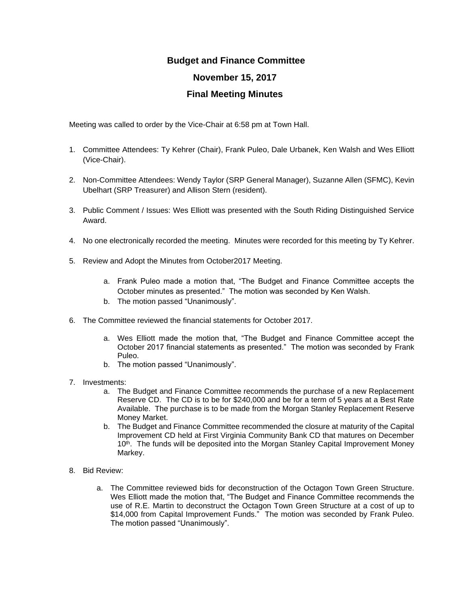## **Budget and Finance Committee November 15, 2017 Final Meeting Minutes**

Meeting was called to order by the Vice-Chair at 6:58 pm at Town Hall.

- 1. Committee Attendees: Ty Kehrer (Chair), Frank Puleo, Dale Urbanek, Ken Walsh and Wes Elliott (Vice-Chair).
- 2. Non-Committee Attendees: Wendy Taylor (SRP General Manager), Suzanne Allen (SFMC), Kevin Ubelhart (SRP Treasurer) and Allison Stern (resident).
- 3. Public Comment / Issues: Wes Elliott was presented with the South Riding Distinguished Service Award.
- 4. No one electronically recorded the meeting. Minutes were recorded for this meeting by Ty Kehrer.
- 5. Review and Adopt the Minutes from October2017 Meeting.
	- a. Frank Puleo made a motion that, "The Budget and Finance Committee accepts the October minutes as presented." The motion was seconded by Ken Walsh.
	- b. The motion passed "Unanimously".
- 6. The Committee reviewed the financial statements for October 2017.
	- a. Wes Elliott made the motion that, "The Budget and Finance Committee accept the October 2017 financial statements as presented." The motion was seconded by Frank Puleo.
	- b. The motion passed "Unanimously".
- 7. Investments:
	- a. The Budget and Finance Committee recommends the purchase of a new Replacement Reserve CD. The CD is to be for \$240,000 and be for a term of 5 years at a Best Rate Available. The purchase is to be made from the Morgan Stanley Replacement Reserve Money Market.
	- b. The Budget and Finance Committee recommended the closure at maturity of the Capital Improvement CD held at First Virginia Community Bank CD that matures on December 10<sup>th</sup>. The funds will be deposited into the Morgan Stanley Capital Improvement Money Markey.
- 8. Bid Review:
	- a. The Committee reviewed bids for deconstruction of the Octagon Town Green Structure. Wes Elliott made the motion that, "The Budget and Finance Committee recommends the use of R.E. Martin to deconstruct the Octagon Town Green Structure at a cost of up to \$14,000 from Capital Improvement Funds." The motion was seconded by Frank Puleo. The motion passed "Unanimously".